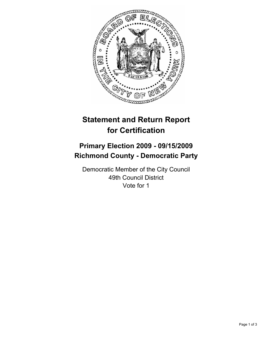

# **Statement and Return Report for Certification**

## **Primary Election 2009 - 09/15/2009 Richmond County - Democratic Party**

Democratic Member of the City Council 49th Council District Vote for 1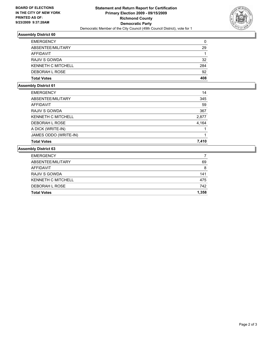

## **Assembly District 60**

| <b>EMERGENCY</b>          | 0   |
|---------------------------|-----|
| ABSENTEE/MILITARY         | 29  |
| AFFIDAVIT                 |     |
| <b>RAJIV S GOWDA</b>      | 32  |
| <b>KENNETH C MITCHELL</b> | 284 |
| DEBORAH L ROSE            | 92  |
| <b>Total Votes</b>        | 408 |

#### **Assembly District 61**

| <b>EMERGENCY</b>          | 14    |
|---------------------------|-------|
| ABSENTEE/MILITARY         | 345   |
| AFFIDAVIT                 | 59    |
| RAJIV S GOWDA             | 367   |
| <b>KENNETH C MITCHELL</b> | 2,877 |
| DEBORAH L ROSE            | 4,164 |
| A DICK (WRITE-IN)         |       |
| JAMES ODDO (WRITE-IN)     |       |
| <b>Total Votes</b>        | 7.410 |

## **Assembly District 63**

| <b>EMERGENCY</b>          |       |
|---------------------------|-------|
| ABSENTEE/MILITARY         | 69    |
| AFFIDAVIT                 | 8     |
| <b>RAJIV S GOWDA</b>      | 141   |
| <b>KENNETH C MITCHELL</b> | 475   |
| DEBORAH L ROSE            | 742   |
| <b>Total Votes</b>        | 1,358 |